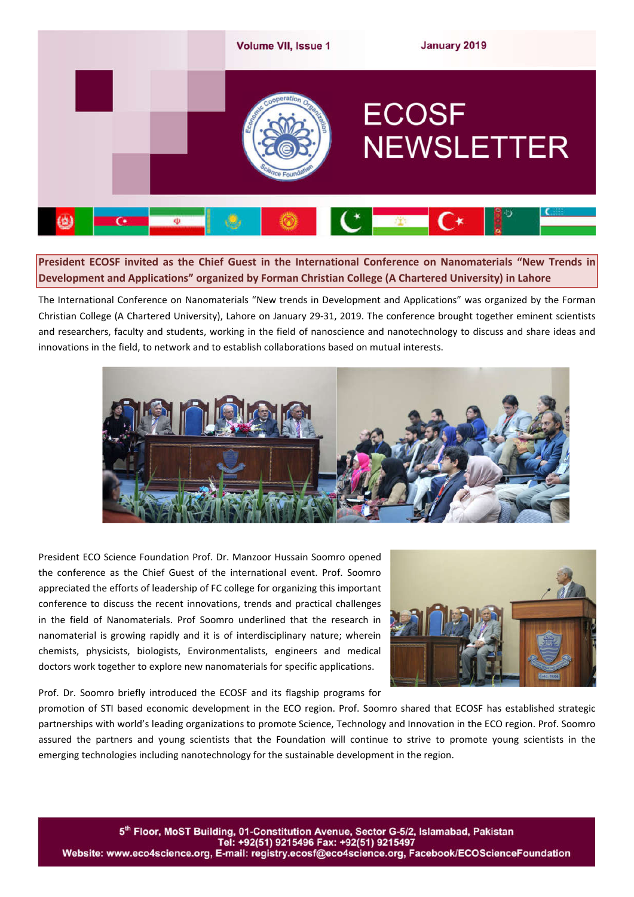

**President ECOSF invited as the Chief Guest in the International Conference on Nanomaterials "New Trends in Development and Applications" organized by Forman Christian College (A Chartered University) in Lahore**

The International Conference on Nanomaterials "New trends in Development and Applications" was organized by the Forman Christian College (A Chartered University), Lahore on January 29-31, 2019. The conference brought together eminent scientists and researchers, faculty and students, working in the field of nanoscience and nanotechnology to discuss and share ideas and innovations in the field, to network and to establish collaborations based on mutual interests.



President ECO Science Foundation Prof. Dr. Manzoor Hussain Soomro opened the conference as the Chief Guest of the international event. Prof. Soomro appreciated the efforts of leadership of FC college for organizing this important conference to discuss the recent innovations, trends and practical challenges in the field of Nanomaterials. Prof Soomro underlined that the research in nanomaterial is growing rapidly and it is of interdisciplinary nature; wherein chemists, physicists, biologists, Environmentalists, engineers and medical doctors work together to explore new nanomaterials for specific applications.

Prof. Dr. Soomro briefly introduced the ECOSF and its flagship programs for



promotion of STI based economic development in the ECO region. Prof. Soomro shared that ECOSF has established strategic partnerships with world's leading organizations to promote Science, Technology and Innovation in the ECO region. Prof. Soomro assured the partners and young scientists that the Foundation will continue to strive to promote young scientists in the emerging technologies including nanotechnology for the sustainable development in the region.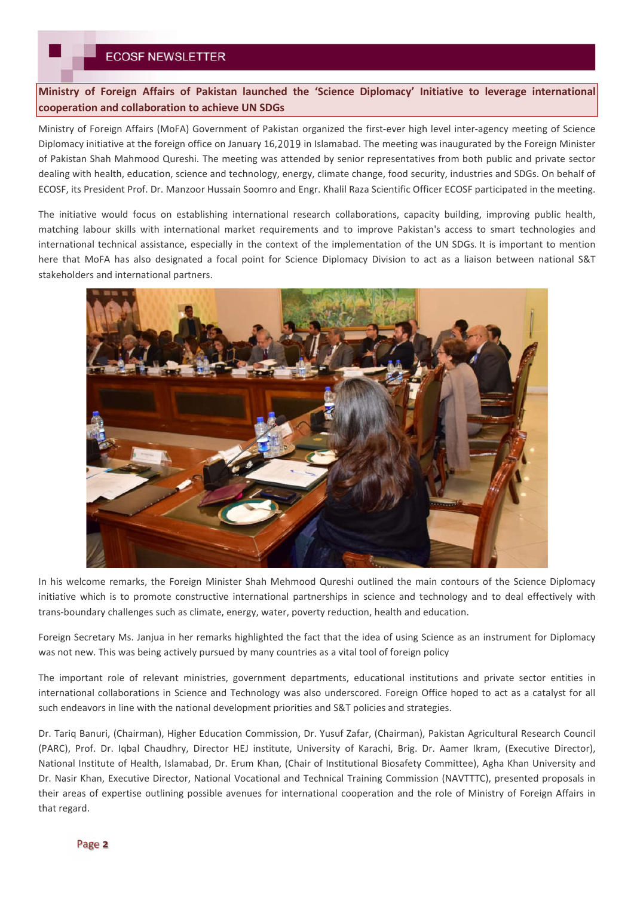# **ECOSF NEWSLETTER**

**Ministry of Foreign Affairs of Pakistan launched the 'Science Diplomacy' Initiative to leverage international cooperation and collaboration to achieve UN SDGs** 

Ministry of Foreign Affairs (MoFA) Government of Pakistan organized the first-ever high level inter-agency meeting of Science Diplomacy initiative at the foreign office on January 16,2019 in Islamabad. The meeting was inaugurated by the Foreign Minister of Pakistan Shah Mahmood Qureshi. The meeting was attended by senior representatives from both public and private sector dealing with health, education, science and technology, energy, climate change, food security, industries and SDGs. On behalf of ECOSF, its President Prof. Dr. Manzoor Hussain Soomro and Engr. Khalil Raza Scientific Officer ECOSF participated in the meeting.

The initiative would focus on establishing international research collaborations, capacity building, improving public health, matching labour skills with international market requirements and to improve Pakistan's access to smart technologies and international technical assistance, especially in the context of the implementation of the UN SDGs. It is important to mention here that MoFA has also designated a focal point for Science Diplomacy Division to act as a liaison between national S&T stakeholders and international partners.



In his welcome remarks, the Foreign Minister Shah Mehmood Qureshi outlined the main contours of the Science Diplomacy initiative which is to promote constructive international partnerships in science and technology and to deal effectively with trans-boundary challenges such as climate, energy, water, poverty reduction, health and education.

Foreign Secretary Ms. Janjua in her remarks highlighted the fact that the idea of using Science as an instrument for Diplomacy was not new. This was being actively pursued by many countries as a vital tool of foreign policy

The important role of relevant ministries, government departments, educational institutions and private sector entities in international collaborations in Science and Technology was also underscored. Foreign Office hoped to act as a catalyst for all such endeavors in line with the national development priorities and S&T policies and strategies.

Dr. Tariq Banuri, (Chairman), Higher Education Commission, Dr. Yusuf Zafar, (Chairman), Pakistan Agricultural Research Council (PARC), Prof. Dr. Iqbal Chaudhry, Director HEJ institute, University of Karachi, Brig. Dr. Aamer Ikram, (Executive Director), National Institute of Health, Islamabad, Dr. Erum Khan, (Chair of Institutional Biosafety Committee), Agha Khan University and Dr. Nasir Khan, Executive Director, National Vocational and Technical Training Commission (NAVTTTC), presented proposals in their areas of expertise outlining possible avenues for international cooperation and the role of Ministry of Foreign Affairs in that regard.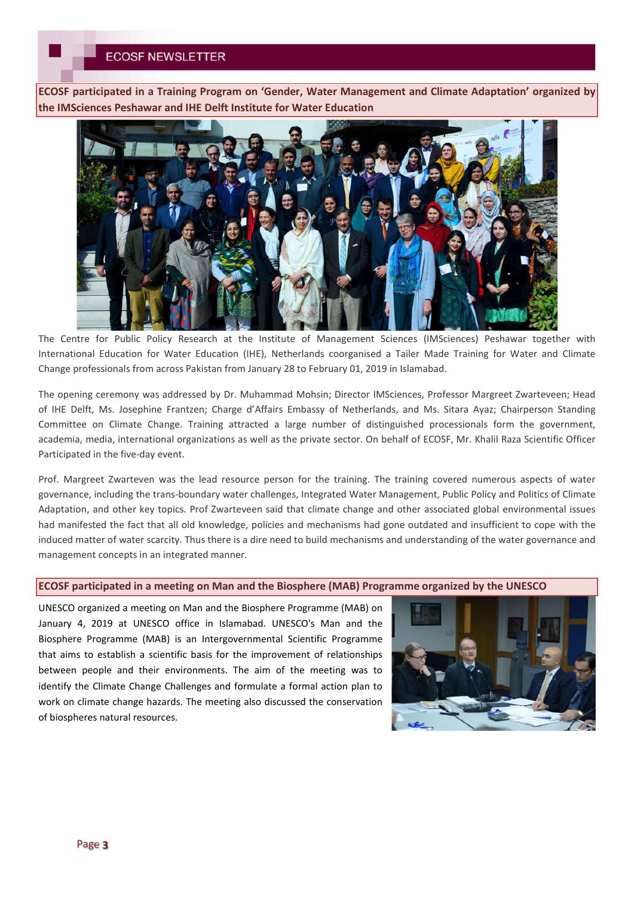**ECOSF participated in a Training Program on 'Gender, Water Management and Climate Adaptation' organized by the IMSciences Peshawar and IHE Delft Institute for Water Education** 



The Centre for Public Policy Research at the Institute of Management Sciences (IMSciences) Peshawar together with International Education for Water Education (IHE), Netherlands coorganised a Tailer Made Training for Water and Climate Change professionals from across Pakistan from January 28 to February 01, 2019 in Islamabad.

The opening ceremony was addressed by Dr. Muhammad Mohsin; Director IMSciences, Professor Margreet Zwarteveen; Head of IHE Delft, Ms. Josephine Frantzen; Charge d'Affairs Embassy of Netherlands, and Ms. Sitara Ayaz; Chairperson Standing Committee on Climate Change. Training attracted a large number of distinguished processionals form the government, academia, media, international organizations as well as the private sector. On behalf of ECOSF, Mr. Khalil Raza Scientific Officer Participated in the five-day event.

Prof. Margreet Zwarteven was the lead resource person for the training. The training covered numerous aspects of water governance, including the trans-boundary water challenges, Integrated Water Management, Public Policy and Politics of Climate Adaptation, and other key topics. Prof Zwarteveen said that climate change and other associated global environmental issues had manifested the fact that all old knowledge, policies and mechanisms had gone outdated and insufficient to cope with the induced matter of water scarcity. Thus there is a dire need to build mechanisms and understanding of the water governance and management concepts in an integrated manner.

### **ECOSF participated in a meeting on Man and the Biosphere (MAB) Programme organized by the UNESCO**

UNESCO organized a meeting on Man and the Biosphere Programme (MAB) on January 4, 2019 at UNESCO office in Islamabad. UNESCO's Man and the Biosphere Programme (MAB) is an Intergovernmental Scientific Programme that aims to establish a scientific basis for the improvement of relationships between people and their environments. The aim of the meeting was to identify the Climate Change Challenges and formulate a formal action plan to work on climate change hazards. The meeting also discussed the conservation of biospheres natural resources.

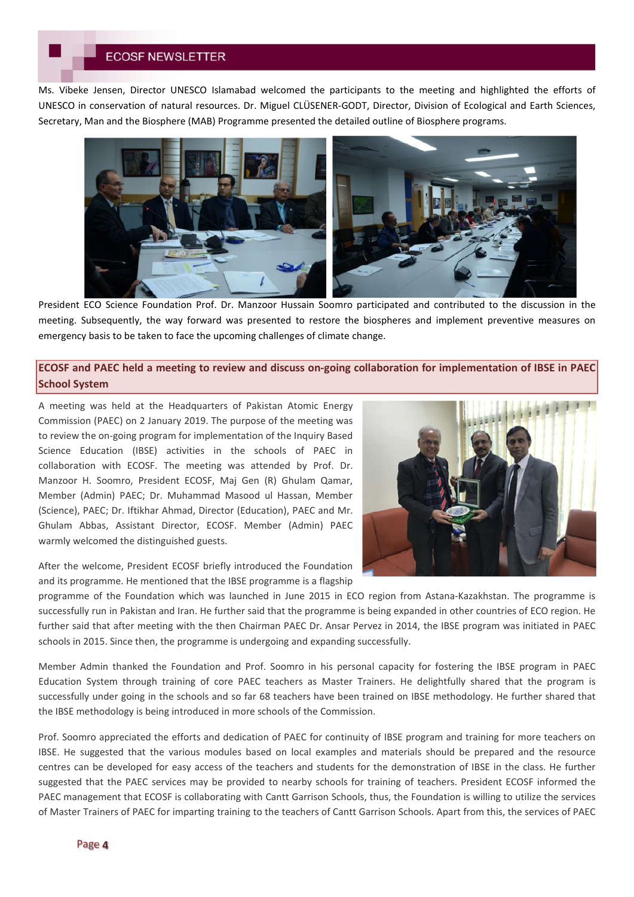# **ECOSF NEWSLETTER**

Ms. Vibeke Jensen, Director UNESCO Islamabad welcomed the participants to the meeting and highlighted the efforts of UNESCO in conservation of natural resources. Dr. Miguel CLÜSENER-GODT, Director, Division of Ecological and Earth Sciences, Secretary, Man and the Biosphere (MAB) Programme presented the detailed outline of Biosphere programs.



President ECO Science Foundation Prof. Dr. Manzoor Hussain Soomro participated and contributed to the discussion in the meeting. Subsequently, the way forward was presented to restore the biospheres and implement preventive measures on emergency basis to be taken to face the upcoming challenges of climate change.

# **ECOSF and PAEC held a meeting to review and discuss on-going collaboration for implementation of IBSE in PAEC School System**

A meeting was held at the Headquarters of Pakistan Atomic Energy Commission (PAEC) on 2 January 2019. The purpose of the meeting was to review the on-going program for implementation of the Inquiry Based Science Education (IBSE) activities in the schools of PAEC in collaboration with ECOSF. The meeting was attended by Prof. Dr. Manzoor H. Soomro, President ECOSF, Maj Gen (R) Ghulam Qamar, Member (Admin) PAEC; Dr. Muhammad Masood ul Hassan, Member (Science), PAEC; Dr. Iftikhar Ahmad, Director (Education), PAEC and Mr. Ghulam Abbas, Assistant Director, ECOSF. Member (Admin) PAEC warmly welcomed the distinguished guests.



After the welcome, President ECOSF briefly introduced the Foundation and its programme. He mentioned that the IBSE programme is a flagship

programme of the Foundation which was launched in June 2015 in ECO region from Astana-Kazakhstan. The programme is successfully run in Pakistan and Iran. He further said that the programme is being expanded in other countries of ECO region. He further said that after meeting with the then Chairman PAEC Dr. Ansar Pervez in 2014, the IBSE program was initiated in PAEC schools in 2015. Since then, the programme is undergoing and expanding successfully.

Member Admin thanked the Foundation and Prof. Soomro in his personal capacity for fostering the IBSE program in PAEC Education System through training of core PAEC teachers as Master Trainers. He delightfully shared that the program is successfully under going in the schools and so far 68 teachers have been trained on IBSE methodology. He further shared that the IBSE methodology is being introduced in more schools of the Commission.

Prof. Soomro appreciated the efforts and dedication of PAEC for continuity of IBSE program and training for more teachers on IBSE. He suggested that the various modules based on local examples and materials should be prepared and the resource centres can be developed for easy access of the teachers and students for the demonstration of IBSE in the class. He further suggested that the PAEC services may be provided to nearby schools for training of teachers. President ECOSF informed the PAEC management that ECOSF is collaborating with Cantt Garrison Schools, thus, the Foundation is willing to utilize the services of Master Trainers of PAEC for imparting training to the teachers of Cantt Garrison Schools. Apart from this, the services of PAEC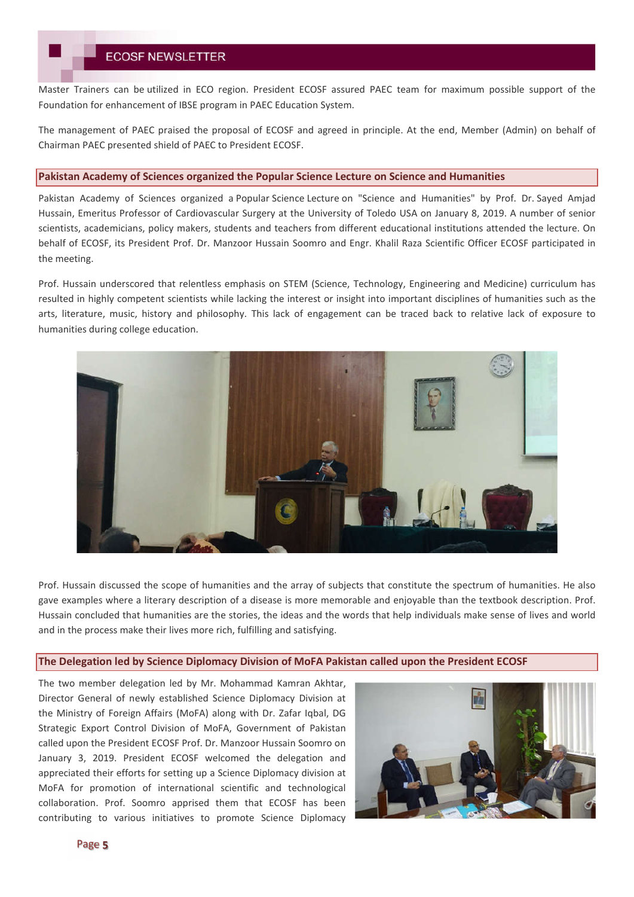Master Trainers can be utilized in ECO region. President ECOSF assured PAEC team for maximum possible support of the Foundation for enhancement of IBSE program in PAEC Education System.

The management of PAEC praised the proposal of ECOSF and agreed in principle. At the end, Member (Admin) on behalf of Chairman PAEC presented shield of PAEC to President ECOSF.

#### **Pakistan Academy of Sciences organized the Popular Science Lecture on Science and Humanities**

Pakistan Academy of Sciences organized a Popular Science Lecture on "Science and Humanities" by Prof. Dr. Sayed Amjad Hussain, Emeritus Professor of Cardiovascular Surgery at the University of Toledo USA on January 8, 2019. A number of senior scientists, academicians, policy makers, students and teachers from different educational institutions attended the lecture. On behalf of ECOSF, its President Prof. Dr. Manzoor Hussain Soomro and Engr. Khalil Raza Scientific Officer ECOSF participated in the meeting.

Prof. Hussain underscored that relentless emphasis on STEM (Science, Technology, Engineering and Medicine) curriculum has resulted in highly competent scientists while lacking the interest or insight into important disciplines of humanities such as the arts, literature, music, history and philosophy. This lack of engagement can be traced back to relative lack of exposure to humanities during college education.



Prof. Hussain discussed the scope of humanities and the array of subjects that constitute the spectrum of humanities. He also gave examples where a literary description of a disease is more memorable and enjoyable than the textbook description. Prof. Hussain concluded that humanities are the stories, the ideas and the words that help individuals make sense of lives and world and in the process make their lives more rich, fulfilling and satisfying.

### **The Delegation led by Science Diplomacy Division of MoFA Pakistan called upon the President ECOSF**

The two member delegation led by Mr. Mohammad Kamran Akhtar, Director General of newly established Science Diplomacy Division at the Ministry of Foreign Affairs (MoFA) along with Dr. Zafar Iqbal, DG Strategic Export Control Division of MoFA, Government of Pakistan called upon the President ECOSF Prof. Dr. Manzoor Hussain Soomro on January 3, 2019. President ECOSF welcomed the delegation and appreciated their efforts for setting up a Science Diplomacy division at MoFA for promotion of international scientific and technological collaboration. Prof. Soomro apprised them that ECOSF has been contributing to various initiatives to promote Science Diplomacy

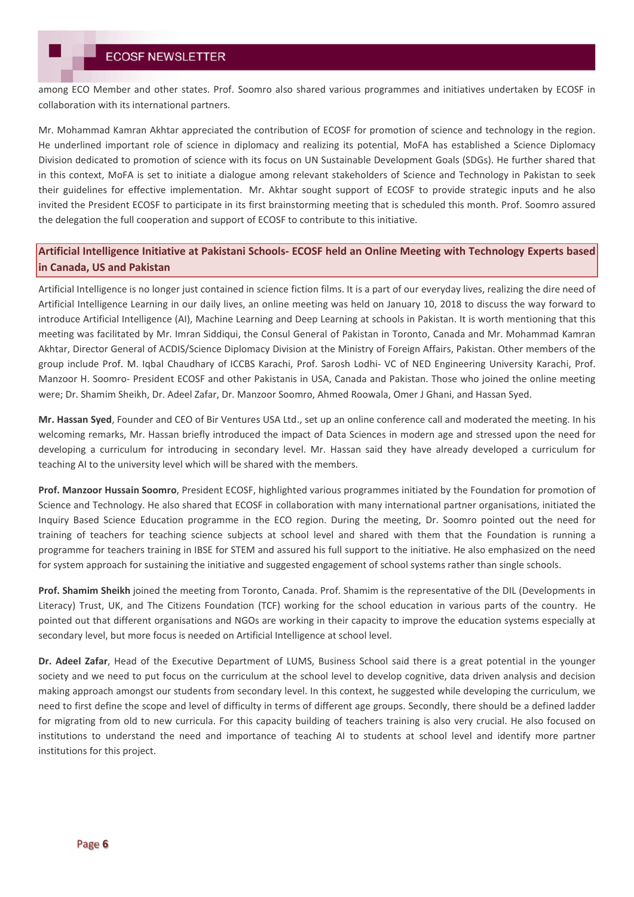among ECO Member and other states. Prof. Soomro also shared various programmes and initiatives undertaken by ECOSF in collaboration with its international partners.

Mr. Mohammad Kamran Akhtar appreciated the contribution of ECOSF for promotion of science and technology in the region. He underlined important role of science in diplomacy and realizing its potential, MoFA has established a Science Diplomacy Division dedicated to promotion of science with its focus on UN Sustainable Development Goals (SDGs). He further shared that in this context, MoFA is set to initiate a dialogue among relevant stakeholders of Science and Technology in Pakistan to seek their guidelines for effective implementation. Mr. Akhtar sought support of ECOSF to provide strategic inputs and he also invited the President ECOSF to participate in its first brainstorming meeting that is scheduled this month. Prof. Soomro assured the delegation the full cooperation and support of ECOSF to contribute to this initiative.

## **Artificial Intelligence Initiative at Pakistani Schools- ECOSF held an Online Meeting with Technology Experts based in Canada, US and Pakistan**

Artificial Intelligence is no longer just contained in science fiction films. It is a part of our everyday lives, realizing the dire need of Artificial Intelligence Learning in our daily lives, an online meeting was held on January 10, 2018 to discuss the way forward to introduce Artificial Intelligence (AI), Machine Learning and Deep Learning at schools in Pakistan. It is worth mentioning that this meeting was facilitated by Mr. Imran Siddiqui, the Consul General of Pakistan in Toronto, Canada and Mr. Mohammad Kamran Akhtar, Director General of ACDIS/Science Diplomacy Division at the Ministry of Foreign Affairs, Pakistan. Other members of the group include Prof. M. Iqbal Chaudhary of ICCBS Karachi, Prof. Sarosh Lodhi- VC of NED Engineering University Karachi, Prof. Manzoor H. Soomro- President ECOSF and other Pakistanis in USA, Canada and Pakistan. Those who joined the online meeting were; Dr. Shamim Sheikh, Dr. Adeel Zafar, Dr. Manzoor Soomro, Ahmed Roowala, Omer J Ghani, and Hassan Syed.

**Mr. Hassan Syed**, Founder and CEO of Bir Ventures USA Ltd., set up an online conference call and moderated the meeting. In his welcoming remarks, Mr. Hassan briefly introduced the impact of Data Sciences in modern age and stressed upon the need for developing a curriculum for introducing in secondary level. Mr. Hassan said they have already developed a curriculum for teaching AI to the university level which will be shared with the members.

**Prof. Manzoor Hussain Soomro**, President ECOSF, highlighted various programmes initiated by the Foundation for promotion of Science and Technology. He also shared that ECOSF in collaboration with many international partner organisations, initiated the Inquiry Based Science Education programme in the ECO region. During the meeting, Dr. Soomro pointed out the need for training of teachers for teaching science subjects at school level and shared with them that the Foundation is running a programme for teachers training in IBSE for STEM and assured his full support to the initiative. He also emphasized on the need for system approach for sustaining the initiative and suggested engagement of school systems rather than single schools.

**Prof. Shamim Sheikh** joined the meeting from Toronto, Canada. Prof. Shamim is the representative of the DIL (Developments in Literacy) Trust, UK, and The Citizens Foundation (TCF) working for the school education in various parts of the country. He pointed out that different organisations and NGOs are working in their capacity to improve the education systems especially at secondary level, but more focus is needed on Artificial Intelligence at school level.

**Dr. Adeel Zafar**, Head of the Executive Department of LUMS, Business School said there is a great potential in the younger society and we need to put focus on the curriculum at the school level to develop cognitive, data driven analysis and decision making approach amongst our students from secondary level. In this context, he suggested while developing the curriculum, we need to first define the scope and level of difficulty in terms of different age groups. Secondly, there should be a defined ladder for migrating from old to new curricula. For this capacity building of teachers training is also very crucial. He also focused on institutions to understand the need and importance of teaching AI to students at school level and identify more partner institutions for this project.